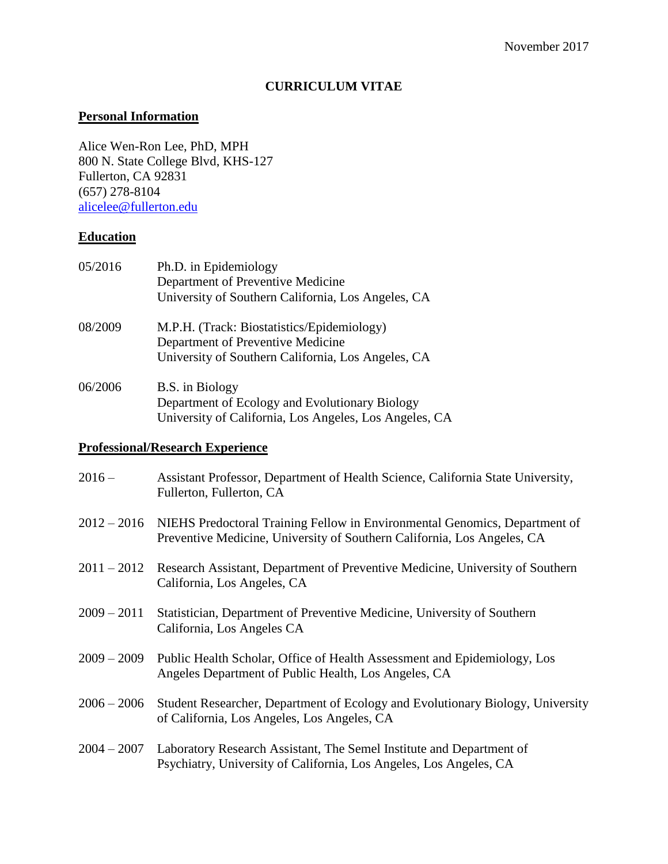### **CURRICULUM VITAE**

### **Personal Information**

Alice Wen-Ron Lee, PhD, MPH 800 N. State College Blvd, KHS-127 Fullerton, CA 92831 (657) 278-8104 [alicelee@fullerton.edu](mailto:alicelee@fullerton.edu)

## **Education**

| 05/2016 | Ph.D. in Epidemiology<br>Department of Preventive Medicine<br>University of Southern California, Los Angeles, CA                      |
|---------|---------------------------------------------------------------------------------------------------------------------------------------|
| 08/2009 | M.P.H. (Track: Biostatistics/Epidemiology)<br>Department of Preventive Medicine<br>University of Southern California, Los Angeles, CA |
| 06/2006 | B.S. in Biology<br>Department of Ecology and Evolutionary Biology<br>University of California, Los Angeles, Los Angeles, CA           |

## **Professional/Research Experience**

| $2016 -$      | Assistant Professor, Department of Health Science, California State University,<br>Fullerton, Fullerton, CA                                                       |
|---------------|-------------------------------------------------------------------------------------------------------------------------------------------------------------------|
|               | 2012 – 2016 NIEHS Predoctoral Training Fellow in Environmental Genomics, Department of<br>Preventive Medicine, University of Southern California, Los Angeles, CA |
|               | 2011 – 2012 Research Assistant, Department of Preventive Medicine, University of Southern<br>California, Los Angeles, CA                                          |
| $2009 - 2011$ | Statistician, Department of Preventive Medicine, University of Southern<br>California, Los Angeles CA                                                             |
| $2009 - 2009$ | Public Health Scholar, Office of Health Assessment and Epidemiology, Los<br>Angeles Department of Public Health, Los Angeles, CA                                  |
| $2006 - 2006$ | Student Researcher, Department of Ecology and Evolutionary Biology, University<br>of California, Los Angeles, Los Angeles, CA                                     |
| $2004 - 2007$ | Laboratory Research Assistant, The Semel Institute and Department of<br>Psychiatry, University of California, Los Angeles, Los Angeles, CA                        |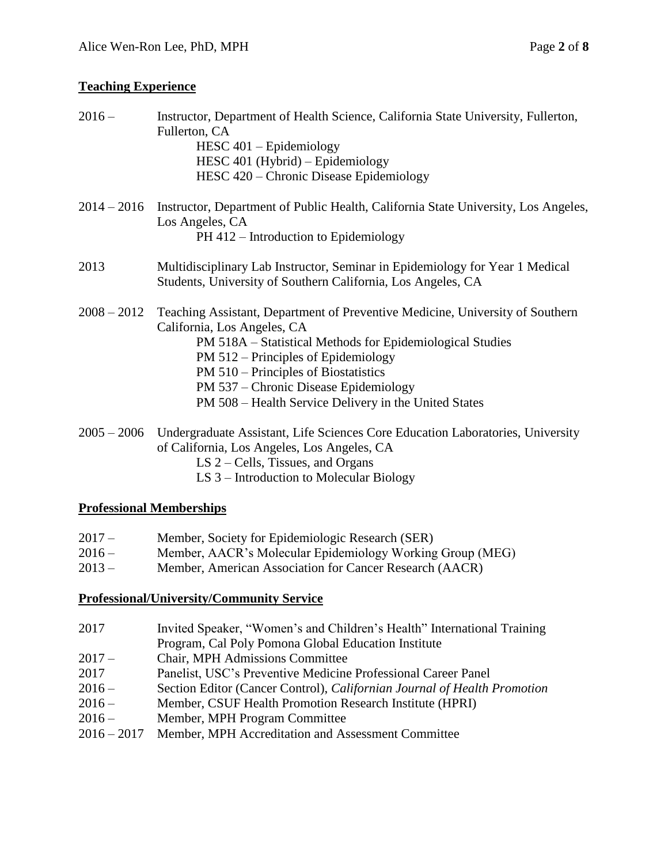# **Teaching Experience**

| $2016 -$      | Instructor, Department of Health Science, California State University, Fullerton,<br>Fullerton, CA<br>$HESC 401 - Epidemiology$<br>HESC 401 (Hybrid) – Epidemiology<br>HESC 420 – Chronic Disease Epidemiology                                                                                                                                             |
|---------------|------------------------------------------------------------------------------------------------------------------------------------------------------------------------------------------------------------------------------------------------------------------------------------------------------------------------------------------------------------|
|               | 2014 – 2016 Instructor, Department of Public Health, California State University, Los Angeles,<br>Los Angeles, CA<br>PH 412 – Introduction to Epidemiology                                                                                                                                                                                                 |
| 2013          | Multidisciplinary Lab Instructor, Seminar in Epidemiology for Year 1 Medical<br>Students, University of Southern California, Los Angeles, CA                                                                                                                                                                                                               |
| $2008 - 2012$ | Teaching Assistant, Department of Preventive Medicine, University of Southern<br>California, Los Angeles, CA<br>PM 518A – Statistical Methods for Epidemiological Studies<br>PM 512 – Principles of Epidemiology<br>PM 510 – Principles of Biostatistics<br>PM 537 – Chronic Disease Epidemiology<br>PM 508 - Health Service Delivery in the United States |
|               | 2005 – 2006 Undergraduate Assistant, Life Sciences Core Education Laboratories, University<br>of California, Los Angeles, Los Angeles, CA<br>LS 2 – Cells, Tissues, and Organs                                                                                                                                                                             |

LS 3 – Introduction to Molecular Biology

### **Professional Memberships**

| $2017 -$ | Member, Society for Epidemiologic Research (SER)          |
|----------|-----------------------------------------------------------|
| $2016-$  | Member, AACR's Molecular Epidemiology Working Group (MEG) |
| $2013 -$ | Member, American Association for Cancer Research (AACR)   |

#### **Professional/University/Community Service**

| 2017    | Invited Speaker, "Women's and Children's Health" International Training |
|---------|-------------------------------------------------------------------------|
|         | Program, Cal Poly Pomona Global Education Institute                     |
| $2017-$ | <b>Chair, MPH Admissions Committee</b>                                  |
| 2017    | Panelist, USC's Preventive Medicine Professional Career Panel           |
| 2012    | $\alpha$ . The $\alpha$ and $\alpha$ is the figure of $\alpha$          |

- 2016 Section Editor (Cancer Control), *Californian Journal of Health Promotion*
- 2016 Member, CSUF Health Promotion Research Institute (HPRI)
- 2016 Member, MPH Program Committee
- 2016 2017 Member, MPH Accreditation and Assessment Committee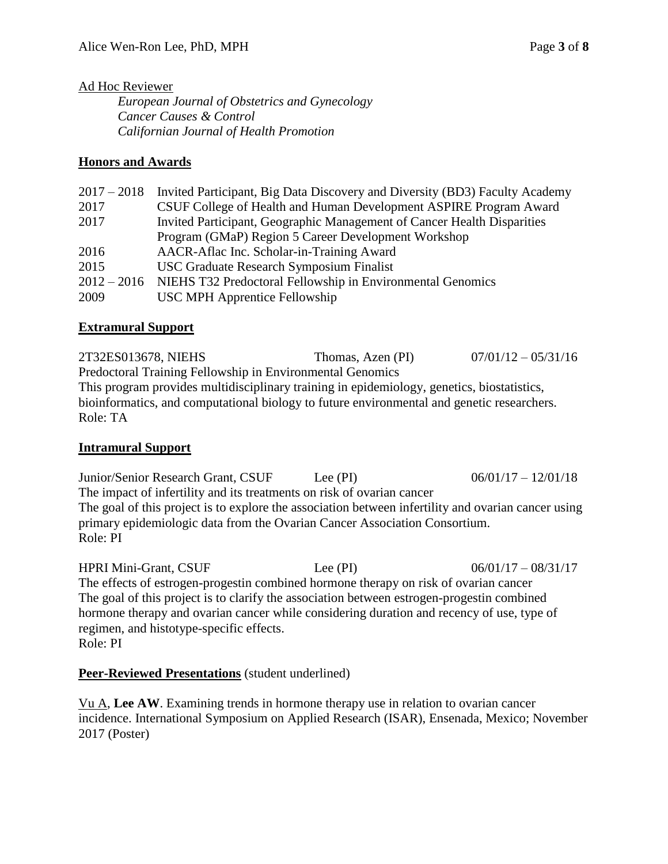#### Ad Hoc Reviewer

*European Journal of Obstetrics and Gynecology Cancer Causes & Control Californian Journal of Health Promotion*

### **Honors and Awards**

| $2017 - 2018$ | Invited Participant, Big Data Discovery and Diversity (BD3) Faculty Academy |
|---------------|-----------------------------------------------------------------------------|
| 2017          | CSUF College of Health and Human Development ASPIRE Program Award           |
| 2017          | Invited Participant, Geographic Management of Cancer Health Disparities     |
|               | Program (GMaP) Region 5 Career Development Workshop                         |
| 2016          | AACR-Aflac Inc. Scholar-in-Training Award                                   |
| 2015          | <b>USC Graduate Research Symposium Finalist</b>                             |
| $2012 - 2016$ | NIEHS T32 Predoctoral Fellowship in Environmental Genomics                  |
| 2009          | USC MPH Apprentice Fellowship                                               |
|               |                                                                             |

### **Extramural Support**

2T32ES013678, NIEHS Thomas, Azen (PI) 07/01/12 – 05/31/16 Predoctoral Training Fellowship in Environmental Genomics This program provides multidisciplinary training in epidemiology, genetics, biostatistics, bioinformatics, and computational biology to future environmental and genetic researchers. Role: TA

#### **Intramural Support**

Junior/Senior Research Grant, CSUF Lee (PI) 06/01/17 – 12/01/18 The impact of infertility and its treatments on risk of ovarian cancer The goal of this project is to explore the association between infertility and ovarian cancer using primary epidemiologic data from the Ovarian Cancer Association Consortium. Role: PI

HPRI Mini-Grant, CSUF Lee (PI) 06/01/17 – 08/31/17 The effects of estrogen-progestin combined hormone therapy on risk of ovarian cancer The goal of this project is to clarify the association between estrogen-progestin combined hormone therapy and ovarian cancer while considering duration and recency of use, type of regimen, and histotype-specific effects. Role: PI

## **Peer-Reviewed Presentations** (student underlined)

Vu A, **Lee AW**. Examining trends in hormone therapy use in relation to ovarian cancer incidence. International Symposium on Applied Research (ISAR), Ensenada, Mexico; November 2017 (Poster)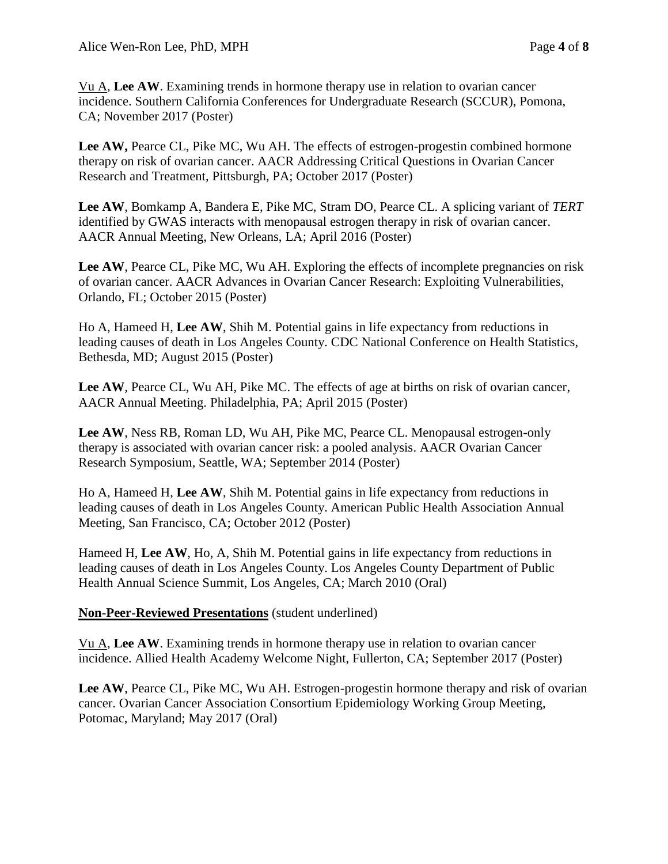Vu A, **Lee AW**. Examining trends in hormone therapy use in relation to ovarian cancer incidence. Southern California Conferences for Undergraduate Research (SCCUR), Pomona, CA; November 2017 (Poster)

Lee AW, Pearce CL, Pike MC, Wu AH. The effects of estrogen-progestin combined hormone therapy on risk of ovarian cancer. AACR Addressing Critical Questions in Ovarian Cancer Research and Treatment, Pittsburgh, PA; October 2017 (Poster)

**Lee AW**, Bomkamp A, Bandera E, Pike MC, Stram DO, Pearce CL. A splicing variant of *TERT* identified by GWAS interacts with menopausal estrogen therapy in risk of ovarian cancer. AACR Annual Meeting, New Orleans, LA; April 2016 (Poster)

Lee AW, Pearce CL, Pike MC, Wu AH. Exploring the effects of incomplete pregnancies on risk of ovarian cancer. AACR Advances in Ovarian Cancer Research: Exploiting Vulnerabilities, Orlando, FL; October 2015 (Poster)

Ho A, Hameed H, **Lee AW**, Shih M. Potential gains in life expectancy from reductions in leading causes of death in Los Angeles County. CDC National Conference on Health Statistics, Bethesda, MD; August 2015 (Poster)

**Lee AW**, Pearce CL, Wu AH, Pike MC. The effects of age at births on risk of ovarian cancer, AACR Annual Meeting. Philadelphia, PA; April 2015 (Poster)

**Lee AW**, Ness RB, Roman LD, Wu AH, Pike MC, Pearce CL. Menopausal estrogen-only therapy is associated with ovarian cancer risk: a pooled analysis. AACR Ovarian Cancer Research Symposium, Seattle, WA; September 2014 (Poster)

Ho A, Hameed H, **Lee AW**, Shih M. Potential gains in life expectancy from reductions in leading causes of death in Los Angeles County. American Public Health Association Annual Meeting, San Francisco, CA; October 2012 (Poster)

Hameed H, **Lee AW**, Ho, A, Shih M. Potential gains in life expectancy from reductions in leading causes of death in Los Angeles County. Los Angeles County Department of Public Health Annual Science Summit, Los Angeles, CA; March 2010 (Oral)

#### **Non-Peer-Reviewed Presentations** (student underlined)

Vu A, **Lee AW**. Examining trends in hormone therapy use in relation to ovarian cancer incidence. Allied Health Academy Welcome Night, Fullerton, CA; September 2017 (Poster)

Lee AW, Pearce CL, Pike MC, Wu AH. Estrogen-progestin hormone therapy and risk of ovarian cancer. Ovarian Cancer Association Consortium Epidemiology Working Group Meeting, Potomac, Maryland; May 2017 (Oral)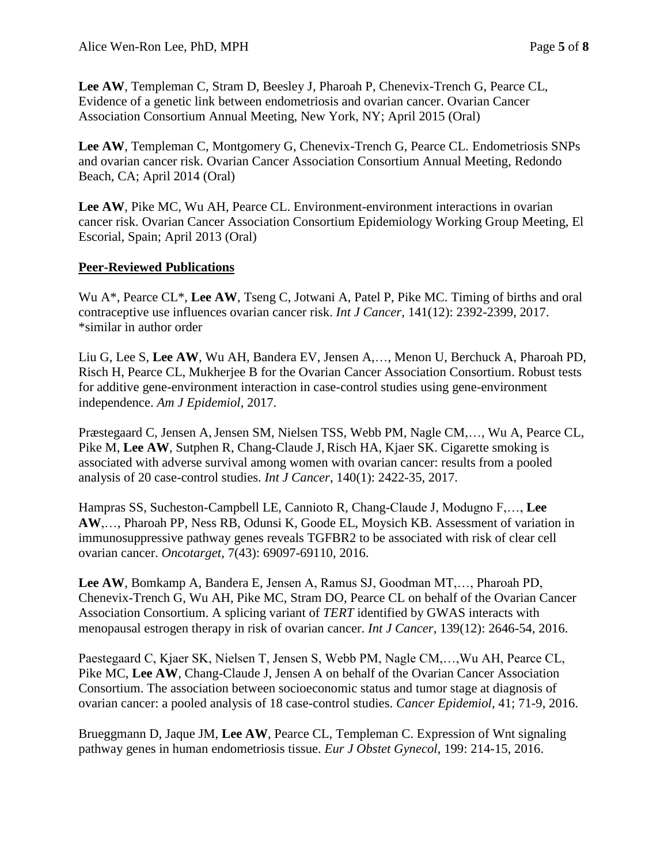**Lee AW**, Templeman C, Stram D, Beesley J, Pharoah P, Chenevix-Trench G, Pearce CL, Evidence of a genetic link between endometriosis and ovarian cancer. Ovarian Cancer Association Consortium Annual Meeting, New York, NY; April 2015 (Oral)

**Lee AW**, Templeman C, Montgomery G, Chenevix-Trench G, Pearce CL. Endometriosis SNPs and ovarian cancer risk. Ovarian Cancer Association Consortium Annual Meeting, Redondo Beach, CA; April 2014 (Oral)

**Lee AW**, Pike MC, Wu AH, Pearce CL. Environment-environment interactions in ovarian cancer risk. Ovarian Cancer Association Consortium Epidemiology Working Group Meeting, El Escorial, Spain; April 2013 (Oral)

#### **Peer-Reviewed Publications**

Wu A<sup>\*</sup>, Pearce CL<sup>\*</sup>, Lee AW, Tseng C, Jotwani A, Patel P, Pike MC. Timing of births and oral contraceptive use influences ovarian cancer risk. *Int J Cancer*, 141(12): 2392-2399, 2017. \*similar in author order

Liu G, Lee S, **Lee AW**, Wu AH, Bandera EV, Jensen A,…, Menon U, Berchuck A, Pharoah PD, Risch H, Pearce CL, Mukherjee B for the Ovarian Cancer Association Consortium. Robust tests for additive gene-environment interaction in case-control studies using gene-environment independence. *Am J Epidemiol*, 2017.

Præstegaard C, Jensen A,Jensen SM, Nielsen TSS, Webb PM, Nagle CM,…, Wu A, Pearce CL, Pike M, **Lee AW**, Sutphen R, Chang-Claude J, Risch HA, Kjaer SK. Cigarette smoking is associated with adverse survival among women with ovarian cancer: results from a pooled analysis of 20 case-control studies. *Int J Cancer*, 140(1): 2422-35, 2017.

Hampras SS, Sucheston-Campbell LE, Cannioto R, Chang-Claude J, Modugno F,…, **Lee AW**,…, Pharoah PP, Ness RB, Odunsi K, Goode EL, Moysich KB. Assessment of variation in immunosuppressive pathway genes reveals TGFBR2 to be associated with risk of clear cell ovarian cancer. *Oncotarget*, 7(43): 69097-69110, 2016.

**Lee AW**, Bomkamp A, Bandera E, Jensen A, Ramus SJ, Goodman MT,…, Pharoah PD, Chenevix-Trench G, Wu AH, Pike MC, Stram DO, Pearce CL on behalf of the Ovarian Cancer Association Consortium. A splicing variant of *TERT* identified by GWAS interacts with menopausal estrogen therapy in risk of ovarian cancer. *Int J Cancer*, 139(12): 2646-54, 2016.

Paestegaard C, Kjaer SK, Nielsen T, Jensen S, Webb PM, Nagle CM,…,Wu AH, Pearce CL, Pike MC, Lee AW, Chang-Claude J, Jensen A on behalf of the Ovarian Cancer Association Consortium. The association between socioeconomic status and tumor stage at diagnosis of ovarian cancer: a pooled analysis of 18 case-control studies. *Cancer Epidemiol*, 41; 71-9, 2016.

Brueggmann D, Jaque JM, **Lee AW**, Pearce CL, Templeman C. Expression of Wnt signaling pathway genes in human endometriosis tissue. *Eur J Obstet Gynecol*, 199: 214-15, 2016.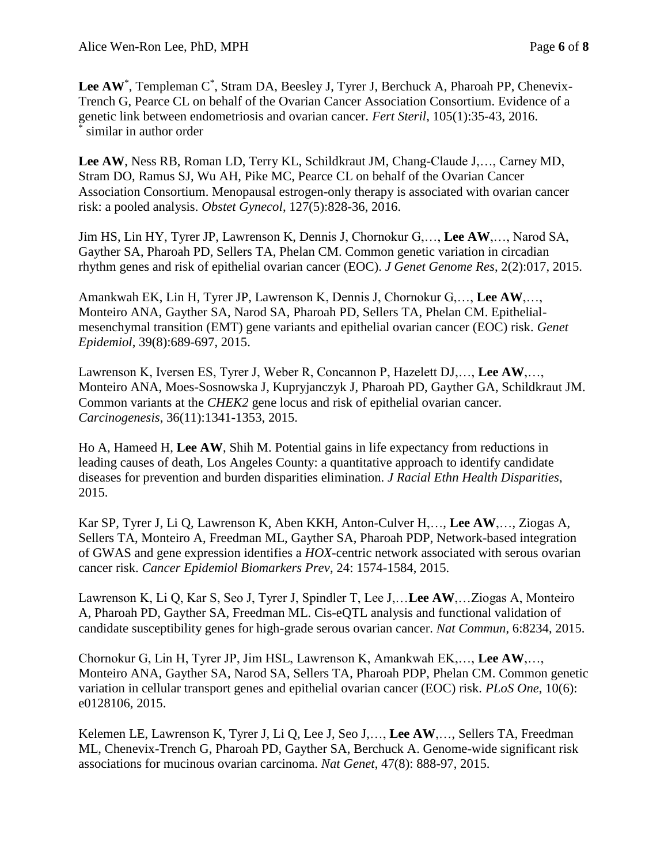Lee AW<sup>\*</sup>, Templeman C<sup>\*</sup>, Stram DA, Beesley J, Tyrer J, Berchuck A, Pharoah PP, Chenevix-Trench G, Pearce CL on behalf of the Ovarian Cancer Association Consortium. Evidence of a genetic link between endometriosis and ovarian cancer. *Fert Steril*, 105(1):35-43, 2016. \* similar in author order

**Lee AW**, Ness RB, Roman LD, Terry KL, Schildkraut JM, Chang-Claude J,…, Carney MD, Stram DO, Ramus SJ, Wu AH, Pike MC, Pearce CL on behalf of the Ovarian Cancer Association Consortium. Menopausal estrogen-only therapy is associated with ovarian cancer risk: a pooled analysis. *Obstet Gynecol*, 127(5):828-36, 2016.

Jim HS, Lin HY, Tyrer JP, Lawrenson K, Dennis J, Chornokur G,…, **Lee AW**,…, Narod SA, Gayther SA, Pharoah PD, Sellers TA, Phelan CM. Common genetic variation in circadian rhythm genes and risk of epithelial ovarian cancer (EOC). *J Genet Genome Res*, 2(2):017, 2015.

Amankwah EK, Lin H, Tyrer JP, Lawrenson K, Dennis J, Chornokur G,…, **Lee AW**,…, Monteiro ANA, Gayther SA, Narod SA, Pharoah PD, Sellers TA, Phelan CM. Epithelialmesenchymal transition (EMT) gene variants and epithelial ovarian cancer (EOC) risk. *Genet Epidemiol*, 39(8):689-697, 2015.

Lawrenson K, Iversen ES, Tyrer J, Weber R, Concannon P, Hazelett DJ,…, **Lee AW**,…, Monteiro ANA, Moes-Sosnowska J, Kupryjanczyk J, Pharoah PD, Gayther GA, Schildkraut JM. Common variants at the *CHEK2* gene locus and risk of epithelial ovarian cancer. *Carcinogenesis*, 36(11):1341-1353, 2015.

Ho A, Hameed H, **Lee AW**, Shih M. Potential gains in life expectancy from reductions in leading causes of death, Los Angeles County: a quantitative approach to identify candidate diseases for prevention and burden disparities elimination. *J Racial Ethn Health Disparities*, 2015.

Kar SP, Tyrer J, Li Q, Lawrenson K, Aben KKH, Anton-Culver H,…, **Lee AW**,…, Ziogas A, Sellers TA, Monteiro A, Freedman ML, Gayther SA, Pharoah PDP, Network-based integration of GWAS and gene expression identifies a *HOX*-centric network associated with serous ovarian cancer risk. *Cancer Epidemiol Biomarkers Prev*, 24: 1574-1584, 2015.

Lawrenson K, Li Q, Kar S, Seo J, Tyrer J, Spindler T, Lee J,…**Lee AW**,…Ziogas A, Monteiro A, Pharoah PD, Gayther SA, Freedman ML. Cis-eQTL analysis and functional validation of candidate susceptibility genes for high-grade serous ovarian cancer. *Nat Commun*, 6:8234, 2015.

Chornokur G, Lin H, Tyrer JP, Jim HSL, Lawrenson K, Amankwah EK,…, **Lee AW**,…, Monteiro ANA, Gayther SA, Narod SA, Sellers TA, Pharoah PDP, Phelan CM. Common genetic variation in cellular transport genes and epithelial ovarian cancer (EOC) risk. *PLoS One*, 10(6): e0128106, 2015.

Kelemen LE, Lawrenson K, Tyrer J, Li Q, Lee J, Seo J,…, **Lee AW**,…, Sellers TA, Freedman ML, Chenevix-Trench G, Pharoah PD, Gayther SA, Berchuck A. Genome-wide significant risk associations for mucinous ovarian carcinoma. *Nat Genet*, 47(8): 888-97, 2015.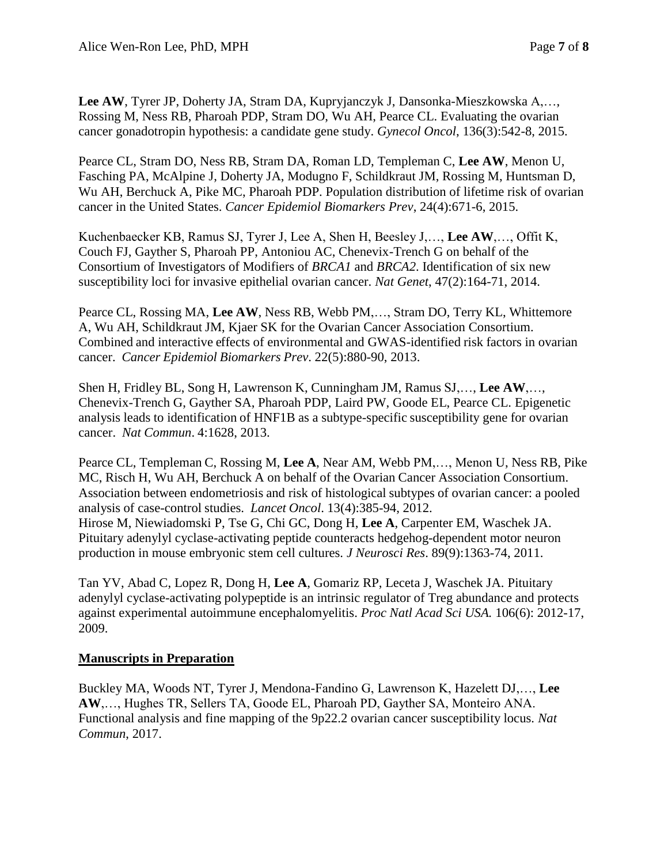**Lee AW**, Tyrer JP, Doherty JA, Stram DA, Kupryjanczyk J, Dansonka-Mieszkowska A,…, Rossing M, Ness RB, Pharoah PDP, Stram DO, Wu AH, Pearce CL. Evaluating the ovarian cancer gonadotropin hypothesis: a candidate gene study. *Gynecol Oncol*, 136(3):542-8, 2015.

Pearce CL, Stram DO, Ness RB, Stram DA, Roman LD, Templeman C, **Lee AW**, Menon U, Fasching PA, McAlpine J, Doherty JA, Modugno F, Schildkraut JM, Rossing M, Huntsman D, Wu AH, Berchuck A, Pike MC, Pharoah PDP. Population distribution of lifetime risk of ovarian cancer in the United States. *Cancer Epidemiol Biomarkers Prev*, 24(4):671-6, 2015.

Kuchenbaecker KB, Ramus SJ, Tyrer J, Lee A, Shen H, Beesley J,…, **Lee AW**,…, Offit K, Couch FJ, Gayther S, Pharoah PP, Antoniou AC, Chenevix-Trench G on behalf of the Consortium of Investigators of Modifiers of *BRCA1* and *BRCA2*. Identification of six new susceptibility loci for invasive epithelial ovarian cancer. *Nat Genet*, 47(2):164-71, 2014.

Pearce CL, Rossing MA, **Lee AW**, Ness RB, Webb PM,…, Stram DO, Terry KL, Whittemore A, Wu AH, Schildkraut JM, Kjaer SK for the Ovarian Cancer Association Consortium. Combined and interactive effects of environmental and GWAS-identified risk factors in ovarian cancer. *Cancer Epidemiol Biomarkers Prev*. 22(5):880-90, 2013.

Shen H, Fridley BL, Song H, Lawrenson K, Cunningham JM, Ramus SJ,…, **Lee AW**,…, Chenevix-Trench G, Gayther SA, Pharoah PDP, Laird PW, Goode EL, Pearce CL. Epigenetic analysis leads to identification of HNF1B as a subtype-specific susceptibility gene for ovarian cancer. *Nat Commun*. 4:1628, 2013.

Pearce CL, Templeman C, Rossing M, **Lee A**, Near AM, Webb PM,…, Menon U, Ness RB, Pike MC, Risch H, Wu AH, Berchuck A on behalf of the Ovarian Cancer Association Consortium. Association between endometriosis and risk of histological subtypes of ovarian cancer: a pooled analysis of case-control studies. *Lancet Oncol*. 13(4):385-94, 2012. Hirose M, Niewiadomski P, Tse G, Chi GC, Dong H, **Lee A**, Carpenter EM, Waschek JA. [Pituitary adenylyl cyclase-activating peptide counteracts hedgehog-dependent motor neuron](http://www-ncbi-nlm-nih-gov.libproxy.usc.edu/pubmed/21674568)  [production in mouse embryonic stem cell cultures.](http://www-ncbi-nlm-nih-gov.libproxy.usc.edu/pubmed/21674568) *J Neurosci Res*. 89(9):1363-74, 2011.

Tan YV, Abad C, Lopez R, Dong H, **Lee A**, Gomariz RP, Leceta J, Waschek JA. Pituitary adenylyl cyclase-activating polypeptide is an intrinsic regulator of Treg abundance and protects against experimental autoimmune encephalomyelitis. *Proc Natl Acad Sci USA.* 106(6): 2012-17, 2009.

#### **Manuscripts in Preparation**

Buckley MA, Woods NT, Tyrer J, Mendona-Fandino G, Lawrenson K, Hazelett DJ,…, **Lee AW**,…, Hughes TR, Sellers TA, Goode EL, Pharoah PD, Gayther SA, Monteiro ANA. Functional analysis and fine mapping of the 9p22.2 ovarian cancer susceptibility locus. *Nat Commun*, 2017.